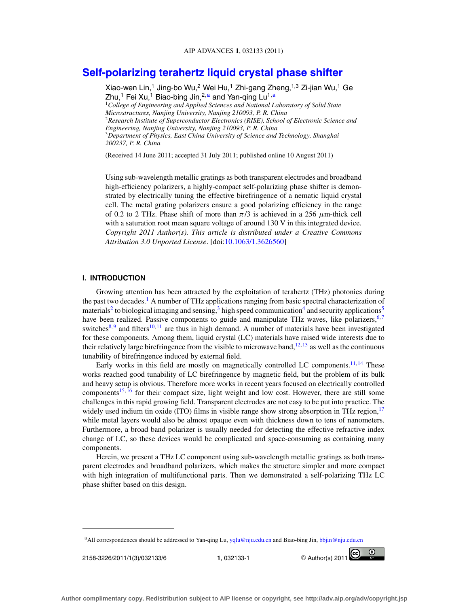# **[Self-polarizing terahertz liquid crystal phase shifter](http://dx.doi.org/10.1063/1.3626560)**

Xiao-wen Lin,<sup>1</sup> Jing-bo Wu,<sup>2</sup> Wei Hu,<sup>1</sup> Zhi-gang Zheng,1,3 Zi-jian Wu,<sup>1</sup> Ge  $Z$ hu,<sup>1</sup> Fei Xu,<sup>1</sup> Biao-bing Jin,<sup>2,a</sup> and Yan-qing Lu<sup>1,a</sup> <sup>1</sup>*College of Engineering and Applied Sciences and National Laboratory of Solid State Microstructures, Nanjing University, Nanjing 210093, P. R. China* <sup>2</sup>*Research Institute of Superconductor Electronics (RISE), School of Electronic Science and Engineering, Nanjing University, Nanjing 210093, P. R. China* <sup>3</sup>*Department of Physics, East China University of Science and Technology, Shanghai 200237, P. R. China*

(Received 14 June 2011; accepted 31 July 2011; published online 10 August 2011)

Using sub-wavelength metallic gratings as both transparent electrodes and broadband high-efficiency polarizers, a highly-compact self-polarizing phase shifter is demonstrated by electrically tuning the effective birefringence of a nematic liquid crystal cell. The metal grating polarizers ensure a good polarizing efficiency in the range of 0.2 to 2 THz. Phase shift of more than  $\pi/3$  is achieved in a 256  $\mu$ m-thick cell with a saturation root mean square voltage of around 130 V in this integrated device. *Copyright 2011 Author(s). This article is distributed under a Creative Commons Attribution 3.0 Unported License*. [doi[:10.1063/1.3626560\]](http://dx.doi.org/10.1063/1.3626560)

## **I. INTRODUCTION**

Growing attention has been attracted by the exploitation of terahertz (THz) photonics during the past two decades.<sup>1</sup> A number of THz applications ranging from basic spectral characterization of materials<sup>[2](#page-5-0)</sup> to biological imaging and sensing,<sup>[3](#page-5-0)</sup> high speed communication<sup>4</sup> and security applications<sup>5</sup> have been realized. Passive components to guide and manipulate THz waves, like polarizers,  $6,7$  $6,7$ switches $8,9$  $8,9$  and filters<sup>[10,](#page-5-0) [11](#page-5-0)</sup> are thus in high demand. A number of materials have been investigated for these components. Among them, liquid crystal (LC) materials have raised wide interests due to their relatively large birefringence from the visible to microwave band, $12, 13$  $12, 13$  as well as the continuous tunability of birefringence induced by external field.

Early works in this field are mostly on magnetically controlled LC components.<sup>11, [14](#page-5-0)</sup> These works reached good tunability of LC birefringence by magnetic field, but the problem of its bulk and heavy setup is obvious. Therefore more works in recent years focused on electrically controlled components<sup>15, [16](#page-5-0)</sup> for their compact size, light weight and low cost. However, there are still some challenges in this rapid growing field. Transparent electrodes are not easy to be put into practice. The widely used indium tin oxide (ITO) films in visible range show strong absorption in THz region, $17$ while metal layers would also be almost opaque even with thickness down to tens of nanometers. Furthermore, a broad band polarizer is usually needed for detecting the effective refractive index change of LC, so these devices would be complicated and space-consuming as containing many components.

Herein, we present a THz LC component using sub-wavelength metallic gratings as both transparent electrodes and broadband polarizers, which makes the structure simpler and more compact with high integration of multifunctional parts. Then we demonstrated a self-polarizing THz LC phase shifter based on this design.

aAll correspondences should be addressed to Yan-qing Lu, [yqlu@nju.edu.cn](mailto: yqlu@nju.edu.cn) and Biao-bing Jin, [bbjin@nju.edu.cn](mailto: bbjin@nju.edu.cn)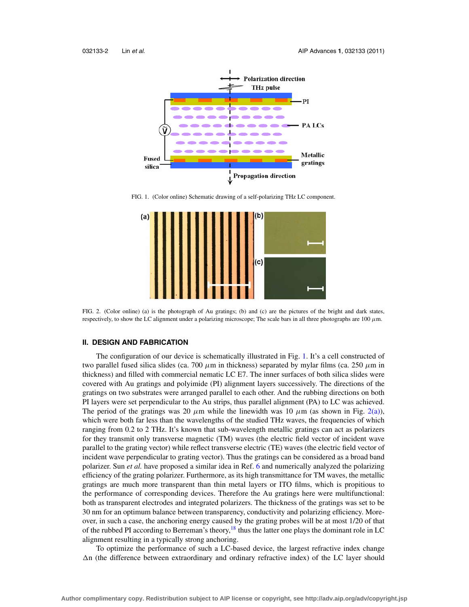<span id="page-1-0"></span>

FIG. 1. (Color online) Schematic drawing of a self-polarizing THz LC component.



FIG. 2. (Color online) (a) is the photograph of Au gratings; (b) and (c) are the pictures of the bright and dark states, respectively, to show the LC alignment under a polarizing microscope; The scale bars in all three photographs are  $100 \mu m$ .

#### **II. DESIGN AND FABRICATION**

The configuration of our device is schematically illustrated in Fig. 1. It's a cell constructed of two parallel fused silica slides (ca. 700  $\mu$ m in thickness) separated by mylar films (ca. 250  $\mu$ m in thickness) and filled with commercial nematic LC E7. The inner surfaces of both silica slides were covered with Au gratings and polyimide (PI) alignment layers successively. The directions of the gratings on two substrates were arranged parallel to each other. And the rubbing directions on both PI layers were set perpendicular to the Au strips, thus parallel alignment (PA) to LC was achieved. The period of the gratings was 20  $\mu$ m while the linewidth was 10  $\mu$ m (as shown in Fig. 2(a)), which were both far less than the wavelengths of the studied THz waves, the frequencies of which ranging from 0.2 to 2 THz. It's known that sub-wavelength metallic gratings can act as polarizers for they transmit only transverse magnetic (TM) waves (the electric field vector of incident wave parallel to the grating vector) while reflect transverse electric (TE) waves (the electric field vector of incident wave perpendicular to grating vector). Thus the gratings can be considered as a broad band polarizer. Sun *et al.* have proposed a similar idea in Ref. [6](#page-5-0) and numerically analyzed the polarizing efficiency of the grating polarizer. Furthermore, as its high transmittance for TM waves, the metallic gratings are much more transparent than thin metal layers or ITO films, which is propitious to the performance of corresponding devices. Therefore the Au gratings here were multifunctional: both as transparent electrodes and integrated polarizers. The thickness of the gratings was set to be 30 nm for an optimum balance between transparency, conductivity and polarizing efficiency. Moreover, in such a case, the anchoring energy caused by the grating probes will be at most 1/20 of that of the rubbed PI according to Berreman's theory, $^{18}$  thus the latter one plays the dominant role in LC alignment resulting in a typically strong anchoring.

To optimize the performance of such a LC-based device, the largest refractive index change  $\Delta n$  (the difference between extraordinary and ordinary refractive index) of the LC layer should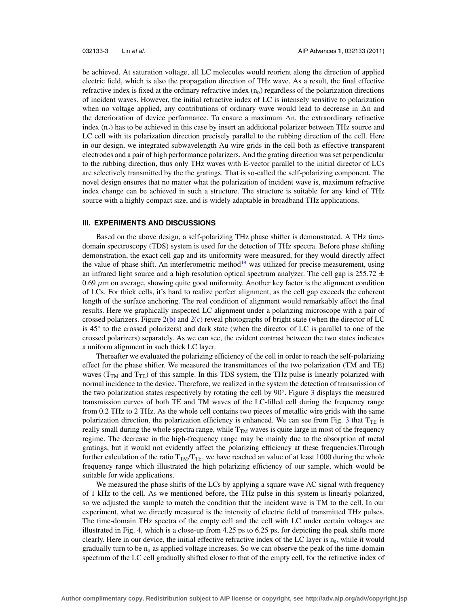be achieved. At saturation voltage, all LC molecules would reorient along the direction of applied electric field, which is also the propagation direction of THz wave. As a result, the final effective refractive index is fixed at the ordinary refractive index  $(n_0)$  regardless of the polarization directions of incident waves. However, the initial refractive index of LC is intensely sensitive to polarization when no voltage applied, any contributions of ordinary wave would lead to decrease in  $\Delta n$  and the deterioration of device performance. To ensure a maximum  $\Delta n$ , the extraordinary refractive index (ne) has to be achieved in this case by insert an additional polarizer between THz source and LC cell with its polarization direction precisely parallel to the rubbing direction of the cell. Here in our design, we integrated subwavelength Au wire grids in the cell both as effective transparent electrodes and a pair of high performance polarizers. And the grating direction was set perpendicular to the rubbing direction, thus only THz waves with E-vector parallel to the initial director of LCs are selectively transmitted by the the gratings. That is so-called the self-polarizing component. The novel design ensures that no matter what the polarization of incident wave is, maximum refractive index change can be achieved in such a structure. The structure is suitable for any kind of THz source with a highly compact size, and is widely adaptable in broadband THz applications.

### **III. EXPERIMENTS AND DISCUSSIONS**

Based on the above design, a self-polarizing THz phase shifter is demonstrated. A THz timedomain spectroscopy (TDS) system is used for the detection of THz spectra. Before phase shifting demonstration, the exact cell gap and its uniformity were measured, for they would directly affect the value of phase shift. An interferometric method $19$  was utilized for precise measurement, using an infrared light source and a high resolution optical spectrum analyzer. The cell gap is 255.72  $\pm$  $0.69 \mu$ m on average, showing quite good uniformity. Another key factor is the alignment condition of LCs. For thick cells, it's hard to realize perfect alignment, as the cell gap exceeds the coherent length of the surface anchoring. The real condition of alignment would remarkably affect the final results. Here we graphically inspected LC alignment under a polarizing microscope with a pair of crossed polarizers. Figure  $2(b)$  and  $2(c)$  reveal photographs of bright state (when the director of LC is 45◦ to the crossed polarizers) and dark state (when the director of LC is parallel to one of the crossed polarizers) separately. As we can see, the evident contrast between the two states indicates a uniform alignment in such thick LC layer.

Thereafter we evaluated the polarizing efficiency of the cell in order to reach the self-polarizing effect for the phase shifter. We measured the transmittances of the two polarization (TM and TE) waves ( $T_{TM}$  and  $T_{TE}$ ) of this sample. In this TDS system, the THz pulse is linearly polarized with normal incidence to the device. Therefore, we realized in the system the detection of transmission of the two polarization states respectively by rotating the cell by 90◦. Figure [3](#page-3-0) displays the measured transmission curves of both TE and TM waves of the LC-filled cell during the frequency range from 0.2 THz to 2 THz. As the whole cell contains two pieces of metallic wire grids with the same polarization direction, the polarization efficiency is enhanced. We can see from Fig. [3](#page-3-0) that  $T_{TE}$  is really small during the whole spectra range, while  $T<sub>TM</sub>$  waves is quite large in most of the frequency regime. The decrease in the high-frequency range may be mainly due to the absorption of metal gratings, but it would not evidently affect the polarizing efficiency at these frequencies.Through further calculation of the ratio  $T_{\text{TM}}/T_{\text{TE}}$ , we have reached an value of at least 1000 during the whole frequency range which illustrated the high polarizing efficiency of our sample, which would be suitable for wide applications.

We measured the phase shifts of the LCs by applying a square wave AC signal with frequency of 1 kHz to the cell. As we mentioned before, the THz pulse in this system is linearly polarized, so we adjusted the sample to match the condition that the incident wave is TM to the cell. In our experiment, what we directly measured is the intensity of electric field of transmitted THz pulses. The time-domain THz spectra of the empty cell and the cell with LC under certain voltages are illustrated in Fig. [4,](#page-3-0) which is a close-up from 4.25 ps to 6.25 ps, for depicting the peak shifts more clearly. Here in our device, the initial effective refractive index of the LC layer is  $n_e$ , while it would gradually turn to be  $n_0$  as applied voltage increases. So we can observe the peak of the time-domain spectrum of the LC cell gradually shifted closer to that of the empty cell, for the refractive index of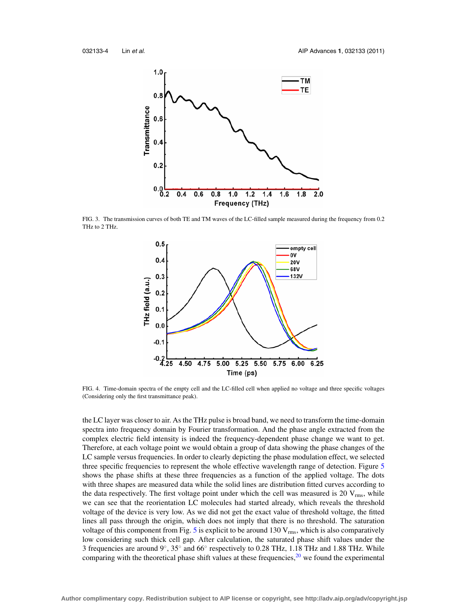<span id="page-3-0"></span>

FIG. 3. The transmission curves of both TE and TM waves of the LC-filled sample measured during the frequency from 0.2 THz to 2 THz.



FIG. 4. Time-domain spectra of the empty cell and the LC-filled cell when applied no voltage and three specific voltages (Considering only the first transmittance peak).

the LC layer was closer to air. As the THz pulse is broad band, we need to transform the time-domain spectra into frequency domain by Fourier transformation. And the phase angle extracted from the complex electric field intensity is indeed the frequency-dependent phase change we want to get. Therefore, at each voltage point we would obtain a group of data showing the phase changes of the LC sample versus frequencies. In order to clearly depicting the phase modulation effect, we selected three specific frequencies to represent the whole effective wavelength range of detection. Figure [5](#page-4-0) shows the phase shifts at these three frequencies as a function of the applied voltage. The dots with three shapes are measured data while the solid lines are distribution fitted curves according to the data respectively. The first voltage point under which the cell was measured is 20  $V_{rms}$ , while we can see that the reorientation LC molecules had started already, which reveals the threshold voltage of the device is very low. As we did not get the exact value of threshold voltage, the fitted lines all pass through the origin, which does not imply that there is no threshold. The saturation voltage of this component from Fig. [5](#page-4-0) is explicit to be around  $130 \text{ V}_{\text{rms}}$ , which is also comparatively low considering such thick cell gap. After calculation, the saturated phase shift values under the 3 frequencies are around 9◦, 35◦ and 66◦ respectively to 0.28 THz, 1.18 THz and 1.88 THz. While comparing with the theoretical phase shift values at these frequencies,<sup>[20](#page-5-0)</sup> we found the experimental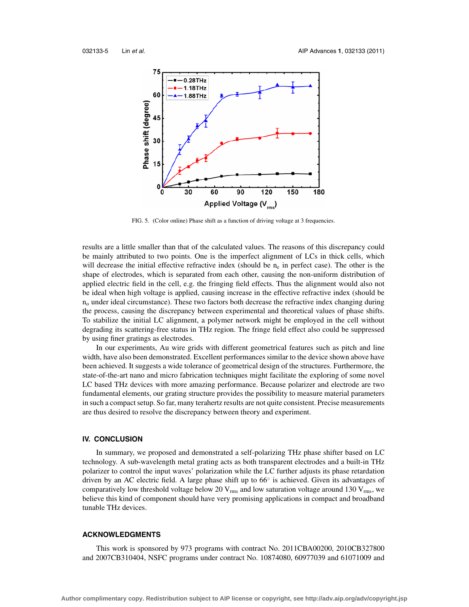<span id="page-4-0"></span>

FIG. 5. (Color online) Phase shift as a function of driving voltage at 3 frequencies.

results are a little smaller than that of the calculated values. The reasons of this discrepancy could be mainly attributed to two points. One is the imperfect alignment of LCs in thick cells, which will decrease the initial effective refractive index (should be  $n_e$  in perfect case). The other is the shape of electrodes, which is separated from each other, causing the non-uniform distribution of applied electric field in the cell, e.g. the fringing field effects. Thus the alignment would also not be ideal when high voltage is applied, causing increase in the effective refractive index (should be  $n<sub>o</sub>$  under ideal circumstance). These two factors both decrease the refractive index changing during the process, causing the discrepancy between experimental and theoretical values of phase shifts. To stabilize the initial LC alignment, a polymer network might be employed in the cell without degrading its scattering-free status in THz region. The fringe field effect also could be suppressed by using finer gratings as electrodes.

In our experiments, Au wire grids with different geometrical features such as pitch and line width, have also been demonstrated. Excellent performances similar to the device shown above have been achieved. It suggests a wide tolerance of geometrical design of the structures. Furthermore, the state-of-the-art nano and micro fabrication techniques might facilitate the exploring of some novel LC based THz devices with more amazing performance. Because polarizer and electrode are two fundamental elements, our grating structure provides the possibility to measure material parameters in such a compact setup. So far, many terahertz results are not quite consistent. Precise measurements are thus desired to resolve the discrepancy between theory and experiment.

#### **IV. CONCLUSION**

In summary, we proposed and demonstrated a self-polarizing THz phase shifter based on LC technology. A sub-wavelength metal grating acts as both transparent electrodes and a built-in THz polarizer to control the input waves' polarization while the LC further adjusts its phase retardation driven by an AC electric field. A large phase shift up to 66◦ is achieved. Given its advantages of comparatively low threshold voltage below 20  $V_{rms}$  and low saturation voltage around 130  $V_{rms}$ , we believe this kind of component should have very promising applications in compact and broadband tunable THz devices.

## **ACKNOWLEDGMENTS**

This work is sponsored by 973 programs with contract No. 2011CBA00200, 2010CB327800 and 2007CB310404, NSFC programs under contract No. 10874080, 60977039 and 61071009 and